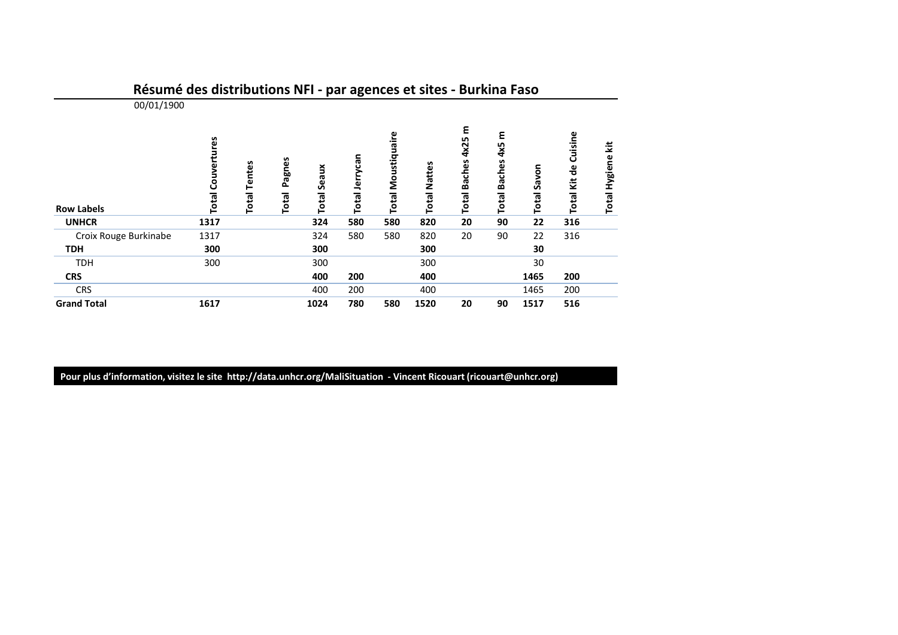|                       |                             |                               |                 | $\mathbf{r}$   | - ن            | $  -$                        |                        |                                  |                                           |                |                                                      |                              |
|-----------------------|-----------------------------|-------------------------------|-----------------|----------------|----------------|------------------------------|------------------------|----------------------------------|-------------------------------------------|----------------|------------------------------------------------------|------------------------------|
| 00/01/1900            |                             |                               |                 |                |                |                              |                        |                                  |                                           |                |                                                      |                              |
| <b>Row Labels</b>     | Couvertures<br><b>Total</b> | <b>Tentes</b><br><b>Total</b> | Pagnes<br>Total | Seaux<br>Total | Total Jerrycan | Moustiquaire<br><b>Total</b> | Nattes<br><b>Total</b> | ε<br>4x25<br><b>Total Baches</b> | ٤<br>4x5<br><b>Baches</b><br><b>Total</b> | Savon<br>Total | Cuisine<br>$\frac{e}{\sigma}$<br>Kit<br><b>Total</b> | š<br><b>Hygiene</b><br>Total |
| <b>UNHCR</b>          | 1317                        |                               |                 | 324            | 580            | 580                          | 820                    | 20                               | 90                                        | 22             | 316                                                  |                              |
| Croix Rouge Burkinabe | 1317                        |                               |                 | 324            | 580            | 580                          | 820                    | 20                               | 90                                        | 22             | 316                                                  |                              |
| <b>TDH</b>            | 300                         |                               |                 | 300            |                |                              | 300                    |                                  |                                           | 30             |                                                      |                              |
| <b>TDH</b>            | 300                         |                               |                 | 300            |                |                              | 300                    |                                  |                                           | 30             |                                                      |                              |
| <b>CRS</b>            |                             |                               |                 | 400            | 200            |                              | 400                    |                                  |                                           | 1465           | 200                                                  |                              |
| <b>CRS</b>            |                             |                               |                 | 400            | 200            |                              | 400                    |                                  |                                           | 1465           | 200                                                  |                              |
| <b>Grand Total</b>    | 1617                        |                               |                 | 1024           | 780            | 580                          | 1520                   | 20                               | 90                                        | 1517           | 516                                                  |                              |

## Résumé des distributions NFI - par agences et sites - Burkina Faso

Pour plus d'information, visitez le site http://data.unhcr.org/MaliSituation - Vincent Ricouart (ricouart@unhcr.org)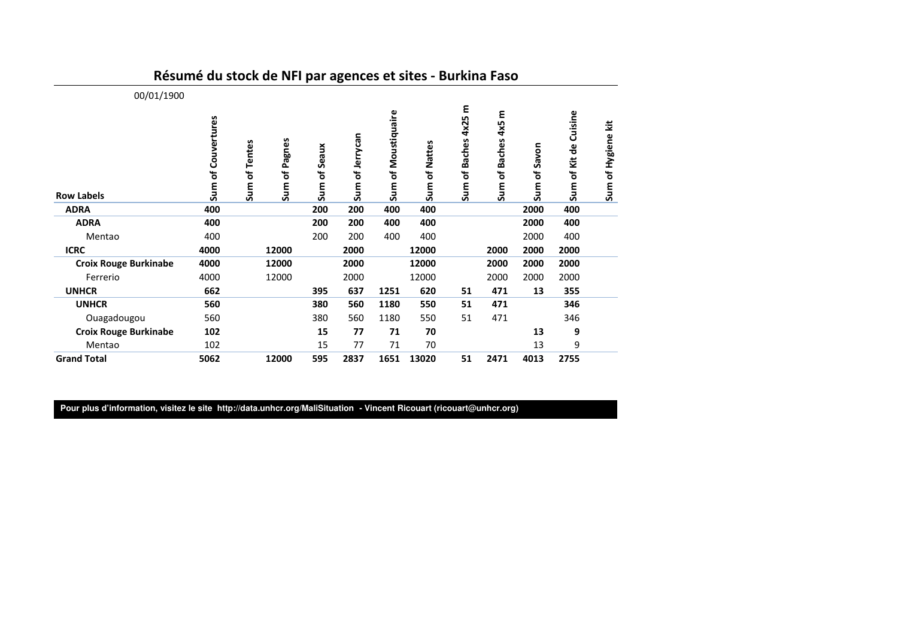| 00/01/1900<br><b>Row Labels</b> | Couvertures<br>Sum of | Sum of Pagnes<br>Sum of Tentes | Seaux<br>đ<br><b>Sum</b> | of Jerrycan<br>Sum | of Moustiquaire<br>Sum | Sum of Nattes | 4x25 m<br>Sum of Baches | ε<br>4x5<br><b>Baches</b><br>Ⴆ<br>Sum | of Savon<br>Sum | Cuisine<br>Sum of Kit de | Ξ<br>Sum of Hygiene |
|---------------------------------|-----------------------|--------------------------------|--------------------------|--------------------|------------------------|---------------|-------------------------|---------------------------------------|-----------------|--------------------------|---------------------|
| <b>ADRA</b>                     | 400                   |                                | 200                      | 200                | 400                    | 400           |                         |                                       | 2000            | 400                      |                     |
| <b>ADRA</b>                     | 400                   |                                | 200                      | 200                | 400                    | 400           |                         |                                       | 2000            | 400                      |                     |
| Mentao                          | 400                   |                                | 200                      | 200                | 400                    | 400           |                         |                                       | 2000            | 400                      |                     |
| <b>ICRC</b>                     | 4000                  | 12000                          |                          | 2000               |                        | 12000         |                         | 2000                                  | 2000            | 2000                     |                     |
| <b>Croix Rouge Burkinabe</b>    | 4000                  | 12000                          |                          | 2000               |                        | 12000         |                         | 2000                                  | 2000            | 2000                     |                     |
| Ferrerio                        | 4000                  | 12000                          |                          | 2000               |                        | 12000         |                         | 2000                                  | 2000            | 2000                     |                     |
| <b>UNHCR</b>                    | 662                   |                                | 395                      | 637                | 1251                   | 620           | 51                      | 471                                   | 13              | 355                      |                     |
| <b>UNHCR</b>                    | 560                   |                                | 380                      | 560                | 1180                   | 550           | 51                      | 471                                   |                 | 346                      |                     |
| Ouagadougou                     | 560                   |                                | 380                      | 560                | 1180                   | 550           | 51                      | 471                                   |                 | 346                      |                     |
| <b>Croix Rouge Burkinabe</b>    | 102                   |                                | 15                       | 77                 | 71                     | 70            |                         |                                       | 13              | 9                        |                     |
| Mentao                          | 102                   |                                | 15                       | 77                 | 71                     | 70            |                         |                                       | 13              | 9                        |                     |
| <b>Grand Total</b>              | 5062                  | 12000                          | 595                      | 2837               | 1651                   | 13020         | 51                      | 2471                                  | 4013            | 2755                     |                     |

## Résumé du stock de NFI par agences et sites - Burkina Faso

**Pour plus d'information, visitez le site http://data.unhcr.org/MaliSituation - Vincent Ricouart (ricouart@unhcr.org)**